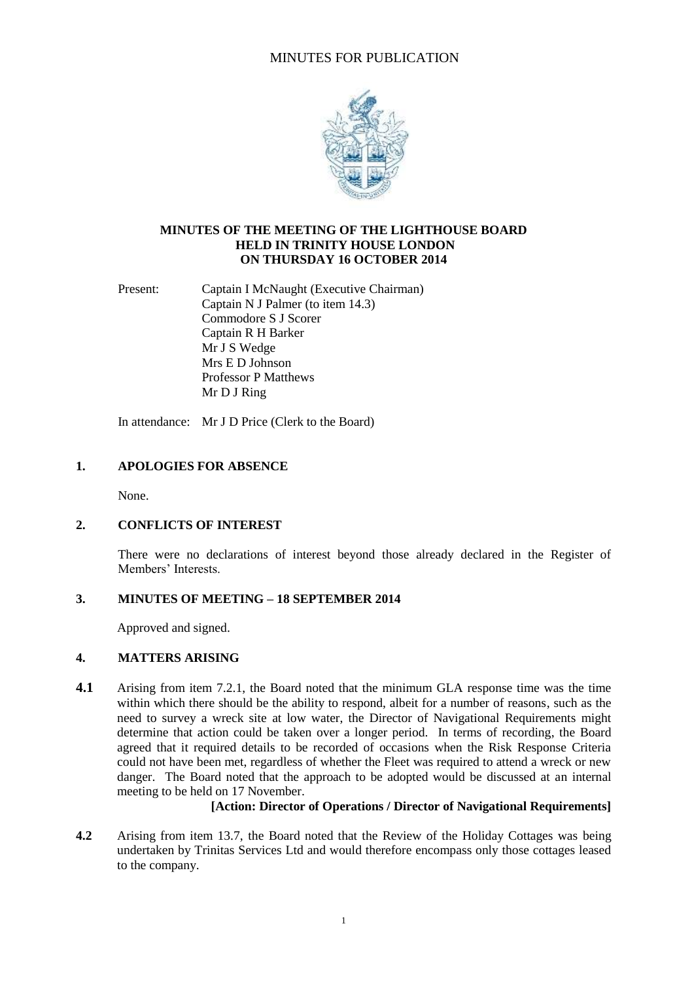# MINUTES FOR PUBLICATION



#### **MINUTES OF THE MEETING OF THE LIGHTHOUSE BOARD HELD IN TRINITY HOUSE LONDON ON THURSDAY 16 OCTOBER 2014**

Present: Captain I McNaught (Executive Chairman) Captain N J Palmer (to item 14.3) Commodore S J Scorer Captain R H Barker Mr J S Wedge Mrs E D Johnson Professor P Matthews Mr D J Ring

In attendance: Mr J D Price (Clerk to the Board)

## **1. APOLOGIES FOR ABSENCE**

None.

#### **2. CONFLICTS OF INTEREST**

There were no declarations of interest beyond those already declared in the Register of Members' Interests.

#### **3. MINUTES OF MEETING – 18 SEPTEMBER 2014**

Approved and signed.

#### **4. MATTERS ARISING**

**4.1** Arising from item 7.2.1, the Board noted that the minimum GLA response time was the time within which there should be the ability to respond, albeit for a number of reasons, such as the need to survey a wreck site at low water, the Director of Navigational Requirements might determine that action could be taken over a longer period. In terms of recording, the Board agreed that it required details to be recorded of occasions when the Risk Response Criteria could not have been met, regardless of whether the Fleet was required to attend a wreck or new danger. The Board noted that the approach to be adopted would be discussed at an internal meeting to be held on 17 November.

## **[Action: Director of Operations / Director of Navigational Requirements]**

**4.2** Arising from item 13.7, the Board noted that the Review of the Holiday Cottages was being undertaken by Trinitas Services Ltd and would therefore encompass only those cottages leased to the company.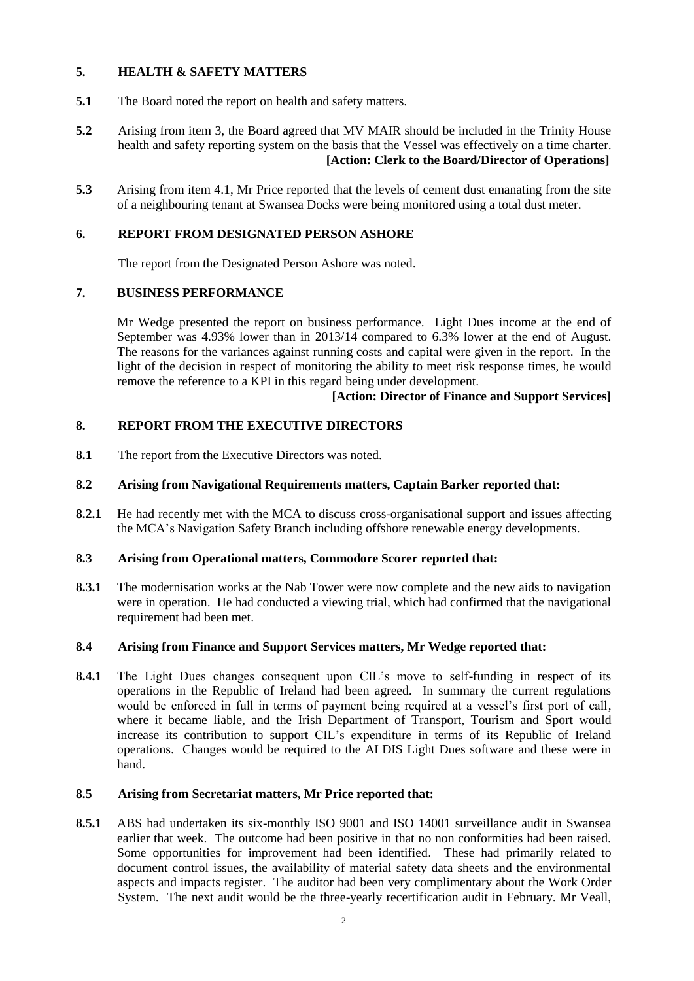## **5. HEALTH & SAFETY MATTERS**

- **5.1** The Board noted the report on health and safety matters.
- **5.2** Arising from item 3, the Board agreed that MV MAIR should be included in the Trinity House health and safety reporting system on the basis that the Vessel was effectively on a time charter.  **[Action: Clerk to the Board/Director of Operations]**
- **5.3** Arising from item 4.1, Mr Price reported that the levels of cement dust emanating from the site of a neighbouring tenant at Swansea Docks were being monitored using a total dust meter.

## **6. REPORT FROM DESIGNATED PERSON ASHORE**

The report from the Designated Person Ashore was noted.

#### **7. BUSINESS PERFORMANCE**

Mr Wedge presented the report on business performance. Light Dues income at the end of September was 4.93% lower than in 2013/14 compared to 6.3% lower at the end of August. The reasons for the variances against running costs and capital were given in the report. In the light of the decision in respect of monitoring the ability to meet risk response times, he would remove the reference to a KPI in this regard being under development.

#### **[Action: Director of Finance and Support Services]**

## **8. REPORT FROM THE EXECUTIVE DIRECTORS**

**8.1** The report from the Executive Directors was noted.

#### **8.2 Arising from Navigational Requirements matters, Captain Barker reported that:**

**8.2.1** He had recently met with the MCA to discuss cross-organisational support and issues affecting the MCA's Navigation Safety Branch including offshore renewable energy developments.

## **8.3 Arising from Operational matters, Commodore Scorer reported that:**

**8.3.1** The modernisation works at the Nab Tower were now complete and the new aids to navigation were in operation. He had conducted a viewing trial, which had confirmed that the navigational requirement had been met.

#### **8.4 Arising from Finance and Support Services matters, Mr Wedge reported that:**

8.4.1 The Light Dues changes consequent upon CIL's move to self-funding in respect of its operations in the Republic of Ireland had been agreed. In summary the current regulations would be enforced in full in terms of payment being required at a vessel's first port of call, where it became liable, and the Irish Department of Transport, Tourism and Sport would increase its contribution to support CIL's expenditure in terms of its Republic of Ireland operations. Changes would be required to the ALDIS Light Dues software and these were in hand.

#### **8.5 Arising from Secretariat matters, Mr Price reported that:**

**8.5.1** ABS had undertaken its six-monthly ISO 9001 and ISO 14001 surveillance audit in Swansea earlier that week. The outcome had been positive in that no non conformities had been raised. Some opportunities for improvement had been identified. These had primarily related to document control issues, the availability of material safety data sheets and the environmental aspects and impacts register. The auditor had been very complimentary about the Work Order System. The next audit would be the three-yearly recertification audit in February. Mr Veall,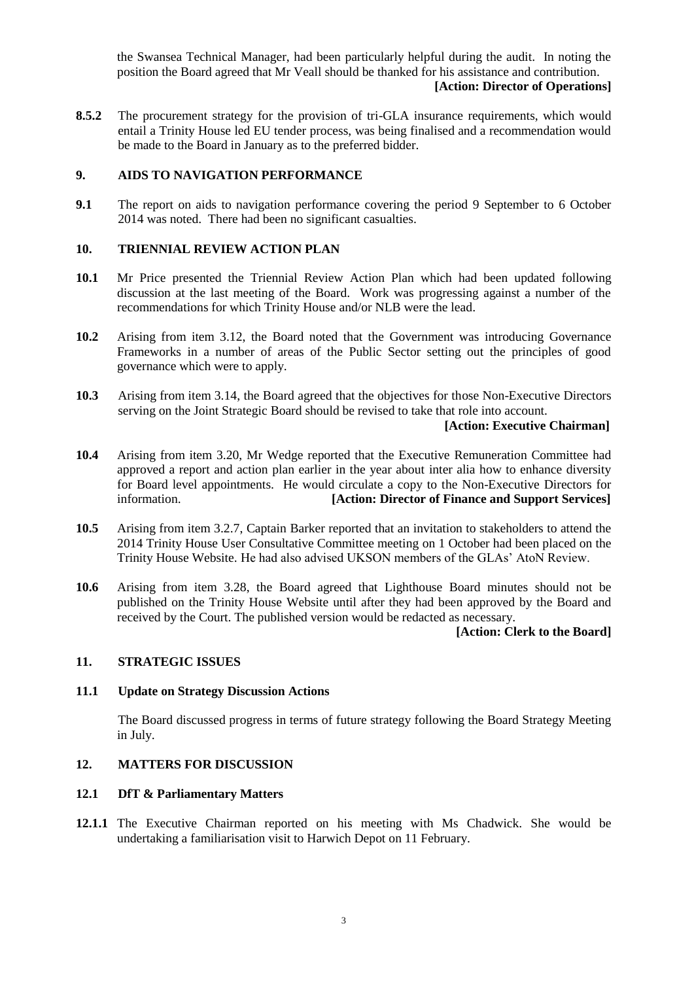the Swansea Technical Manager, had been particularly helpful during the audit. In noting the position the Board agreed that Mr Veall should be thanked for his assistance and contribution.

## **[Action: Director of Operations]**

**8.5.2** The procurement strategy for the provision of tri-GLA insurance requirements, which would entail a Trinity House led EU tender process, was being finalised and a recommendation would be made to the Board in January as to the preferred bidder.

## **9. AIDS TO NAVIGATION PERFORMANCE**

**9.1** The report on aids to navigation performance covering the period 9 September to 6 October 2014 was noted. There had been no significant casualties.

## **10. TRIENNIAL REVIEW ACTION PLAN**

- **10.1** Mr Price presented the Triennial Review Action Plan which had been updated following discussion at the last meeting of the Board. Work was progressing against a number of the recommendations for which Trinity House and/or NLB were the lead.
- **10.2** Arising from item 3.12, the Board noted that the Government was introducing Governance Frameworks in a number of areas of the Public Sector setting out the principles of good governance which were to apply.
- **10.3** Arising from item 3.14, the Board agreed that the objectives for those Non-Executive Directors serving on the Joint Strategic Board should be revised to take that role into account.

#### **[Action: Executive Chairman]**

- **10.4** Arising from item 3.20, Mr Wedge reported that the Executive Remuneration Committee had approved a report and action plan earlier in the year about inter alia how to enhance diversity for Board level appointments. He would circulate a copy to the Non-Executive Directors for information. **[Action: Director of Finance and Support Services]**
- **10.5** Arising from item 3.2.7, Captain Barker reported that an invitation to stakeholders to attend the 2014 Trinity House User Consultative Committee meeting on 1 October had been placed on the Trinity House Website. He had also advised UKSON members of the GLAs' AtoN Review.
- **10.6** Arising from item 3.28, the Board agreed that Lighthouse Board minutes should not be published on the Trinity House Website until after they had been approved by the Board and received by the Court. The published version would be redacted as necessary.

#### **[Action: Clerk to the Board]**

## **11. STRATEGIC ISSUES**

#### **11.1 Update on Strategy Discussion Actions**

The Board discussed progress in terms of future strategy following the Board Strategy Meeting in July.

## **12. MATTERS FOR DISCUSSION**

## **12.1 DfT & Parliamentary Matters**

**12.1.1** The Executive Chairman reported on his meeting with Ms Chadwick. She would be undertaking a familiarisation visit to Harwich Depot on 11 February.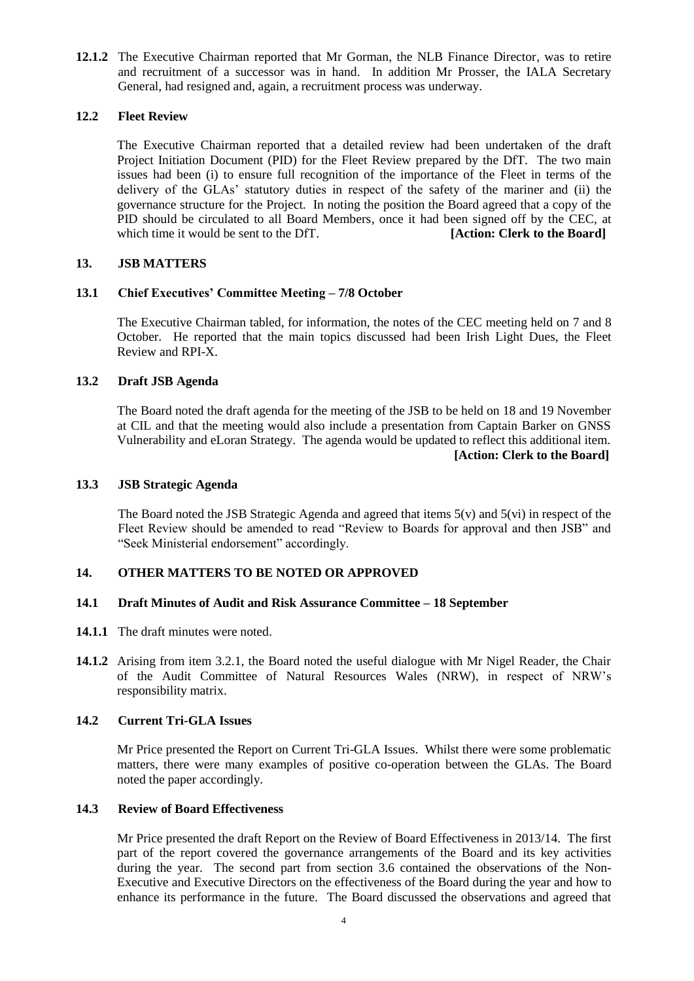**12.1.2** The Executive Chairman reported that Mr Gorman, the NLB Finance Director, was to retire and recruitment of a successor was in hand. In addition Mr Prosser, the IALA Secretary General, had resigned and, again, a recruitment process was underway.

## **12.2 Fleet Review**

The Executive Chairman reported that a detailed review had been undertaken of the draft Project Initiation Document (PID) for the Fleet Review prepared by the DfT. The two main issues had been (i) to ensure full recognition of the importance of the Fleet in terms of the delivery of the GLAs' statutory duties in respect of the safety of the mariner and (ii) the governance structure for the Project. In noting the position the Board agreed that a copy of the PID should be circulated to all Board Members, once it had been signed off by the CEC, at which time it would be sent to the DfT. **[Action: Clerk to the Board]** 

## **13. JSB MATTERS**

## **13.1 Chief Executives' Committee Meeting – 7/8 October**

The Executive Chairman tabled, for information, the notes of the CEC meeting held on 7 and 8 October. He reported that the main topics discussed had been Irish Light Dues, the Fleet Review and RPI-X.

## **13.2 Draft JSB Agenda**

The Board noted the draft agenda for the meeting of the JSB to be held on 18 and 19 November at CIL and that the meeting would also include a presentation from Captain Barker on GNSS Vulnerability and eLoran Strategy. The agenda would be updated to reflect this additional item. **[Action: Clerk to the Board]**

#### **13.3 JSB Strategic Agenda**

The Board noted the JSB Strategic Agenda and agreed that items 5(v) and 5(vi) in respect of the Fleet Review should be amended to read "Review to Boards for approval and then JSB" and "Seek Ministerial endorsement" accordingly.

#### **14. OTHER MATTERS TO BE NOTED OR APPROVED**

#### **14.1 Draft Minutes of Audit and Risk Assurance Committee – 18 September**

- **14.1.1** The draft minutes were noted.
- **14.1.2** Arising from item 3.2.1, the Board noted the useful dialogue with Mr Nigel Reader, the Chair of the Audit Committee of Natural Resources Wales (NRW), in respect of NRW's responsibility matrix.

## **14.2 Current Tri-GLA Issues**

Mr Price presented the Report on Current Tri-GLA Issues. Whilst there were some problematic matters, there were many examples of positive co-operation between the GLAs. The Board noted the paper accordingly.

## **14.3 Review of Board Effectiveness**

Mr Price presented the draft Report on the Review of Board Effectiveness in 2013/14. The first part of the report covered the governance arrangements of the Board and its key activities during the year. The second part from section 3.6 contained the observations of the Non-Executive and Executive Directors on the effectiveness of the Board during the year and how to enhance its performance in the future. The Board discussed the observations and agreed that